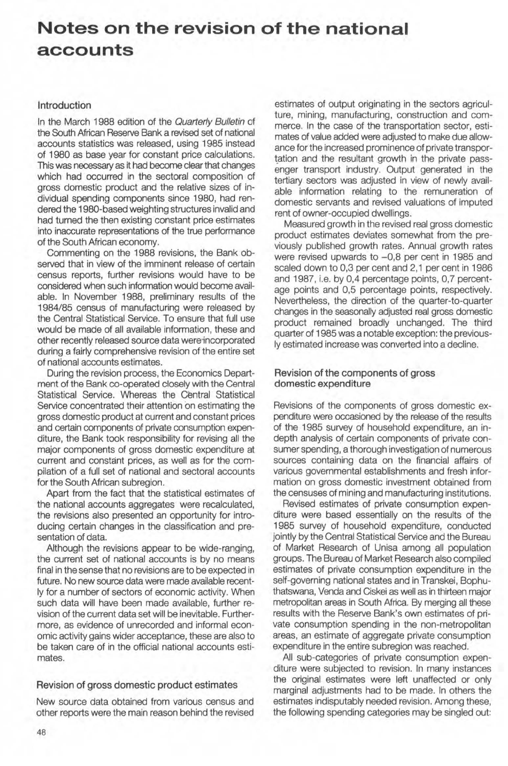# **Notes on the revision of the national accounts**

#### Introduction

In the March 1988 edition of the Quarterly Bulletin of the South African Reserve Bank a revised set of national accounts statistics was released, using 1985 instead of 1980 as base year for constant price calculations. This was necessary as it had become clear that changes which had occurred in the sectoral composition of gross domestic product and the relative sizes of individual spending components since 1980, had rendered the 1980-based weighting structures invalid and had tumed the then existing constant price estimates into inaccurate representations of the true performance of the South African economy.

Commenting on the 1988 revisions, the Bank observed that in view of the imminent release of certain census reports, further revisions would have to be considered when such information would become available. In November 1988, preliminary results of the 1984/85 census of manufacturing were released by the Central Statistical Service. To ensure that full use would be made of all available information, these and other recently released source data wereincorporated during a fairly comprehensive revision of the entire set of national accounts estimates.

During the revision process, the Economics Department of the Bank co-operated closely with the Central Statistical Service. Whereas the Central Statistical Service concentrated their attention on estimating the gross domestic product at current and constant prices and certain components of private consumption expenditure, the Bank took responsibility for revising all the major components of gross domestic expenditure at current and constant prices, as well as for the compilation of a full set of national and sectoral accounts for the South African subregion.

Apart from the fact that the statistical estimates of the national accounts aggregates were recalculated, the revisions also presented an opportunity for introducing certain changes in the classification and presentation of data.

Although the revisions appear to be wide-ranging, the current set of national accounts is by no means final in the sense that no revisions are to be expected in future. No new source data were made available recently for a number of sectors of economic activity. When such data will have been made available, further revision of the current data set will be inevitable. Furthermore, as evidence of unrecorded and informal economic activity gains wider acceptance, these are also to be taken care of in the official national accounts estimates.

#### Revision of gross domestic product estimates

New source data obtained from various census and other reports were the main reason behind the revised estimates of output originating in the sectors agriculture, mining, manufacturing, construction and commerce. In the case of the transportation sector, estimates of value added were adjusted to make due allowance for the increased prominence of private transpor tation and the resultant growth in the private passenger transport industry. Output generated in the tertiary sectors was adjusted in view of newly available information relating to the remuneration of domestic servants and revised valuations of imputed rent of owner-occupied dwellings.

Measured growth in the revised real gross domestic product estimates deviates somewhat from the previously published growth rates. Annual growth rates were revised upwards to  $-0.8$  per cent in 1985 and scaled down to 0,3 per cent and 2,1 per cent in 1986 and 1987, i.e. by 0,4 percentage points, 0,7 percentage points and 0,5 percentage points, respectively. Nevertheless, the direction of the quarter-to-quarter changes in the seasonally adjusted real gross domestic product remained broadly unchanged. The third quarter of 1985 was a notable exception: the previously estimated increase was converted into a decline.

#### Revision of the components of gross domestic expenditure

Revisions of the components of gross domestic expenditure were occasioned by the release of the results of the 1985 survey of household expenditure, an indepth analysis of certain components of private consumer spending, a thorough investigation of numerous sources containing data on the financial affairs of various governmental establishments and fresh information on gross dornestic investment obtained from the censuses of mining and manufacturing institutions.

Revised estirnates of private consurnption expenditure were based essentially on the results of the 1985 survey of household expenditure, conducted jointly by the Central Statistical Service and the Bureau of Market Research of Unisa among all population groups. The Bureau of Market Research also compiled estimates of private consurnption expenditure in the self-governing national states and in Transkei, Bophuthatswana, Venda and Ciskei as well as in thirteen major metropolitan areas in South Africa. By merging all these results with the Reserve Bank's own estimates of private consumption spending in the non-metropolitan areas, an estimate of aggregate private consumption expenditure in the entire subregion was reached.

All sub-categories of private consumption expenditure were subjected to revision. In many instances the original estimates were left unaffected or only marginal adjustments had to be made. In others the estimates indisputably needed revision. Among these, the following spending categories may be singled out: